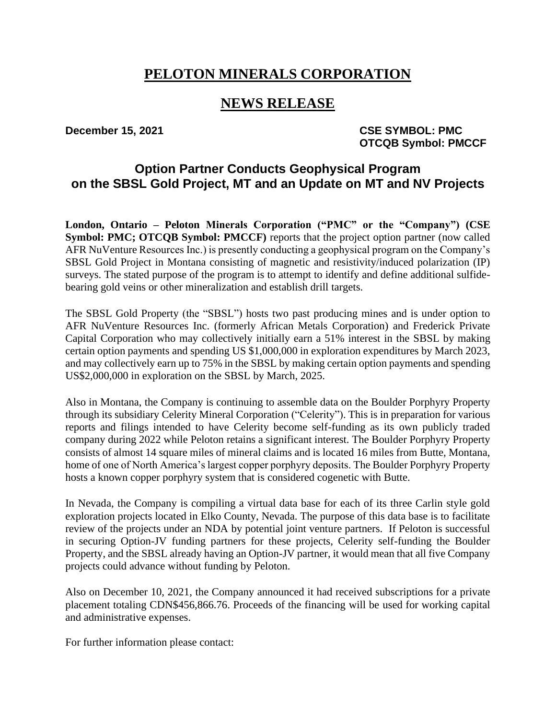# **PELOTON MINERALS CORPORATION**

## **NEWS RELEASE**

**December 15, 2021** CSE SYMBOL: PMC **OTCQB Symbol: PMCCF**

## **Option Partner Conducts Geophysical Program on the SBSL Gold Project, MT and an Update on MT and NV Projects**

**London, Ontario – Peloton Minerals Corporation ("PMC" or the "Company") (CSE Symbol: PMC; OTCQB Symbol: PMCCF**) reports that the project option partner (now called AFR NuVenture Resources Inc.) is presently conducting a geophysical program on the Company's SBSL Gold Project in Montana consisting of magnetic and resistivity/induced polarization (IP) surveys. The stated purpose of the program is to attempt to identify and define additional sulfidebearing gold veins or other mineralization and establish drill targets.

The SBSL Gold Property (the "SBSL") hosts two past producing mines and is under option to AFR NuVenture Resources Inc. (formerly African Metals Corporation) and Frederick Private Capital Corporation who may collectively initially earn a 51% interest in the SBSL by making certain option payments and spending US \$1,000,000 in exploration expenditures by March 2023, and may collectively earn up to 75% in the SBSL by making certain option payments and spending US\$2,000,000 in exploration on the SBSL by March, 2025.

Also in Montana, the Company is continuing to assemble data on the Boulder Porphyry Property through its subsidiary Celerity Mineral Corporation ("Celerity"). This is in preparation for various reports and filings intended to have Celerity become self-funding as its own publicly traded company during 2022 while Peloton retains a significant interest. The Boulder Porphyry Property consists of almost 14 square miles of mineral claims and is located 16 miles from Butte, Montana, home of one of North America's largest copper porphyry deposits. The Boulder Porphyry Property hosts a known copper porphyry system that is considered cogenetic with Butte.

In Nevada, the Company is compiling a virtual data base for each of its three Carlin style gold exploration projects located in Elko County, Nevada. The purpose of this data base is to facilitate review of the projects under an NDA by potential joint venture partners. If Peloton is successful in securing Option-JV funding partners for these projects, Celerity self-funding the Boulder Property, and the SBSL already having an Option-JV partner, it would mean that all five Company projects could advance without funding by Peloton.

Also on December 10, 2021, the Company announced it had received subscriptions for a private placement totaling CDN\$456,866.76. Proceeds of the financing will be used for working capital and administrative expenses.

For further information please contact: